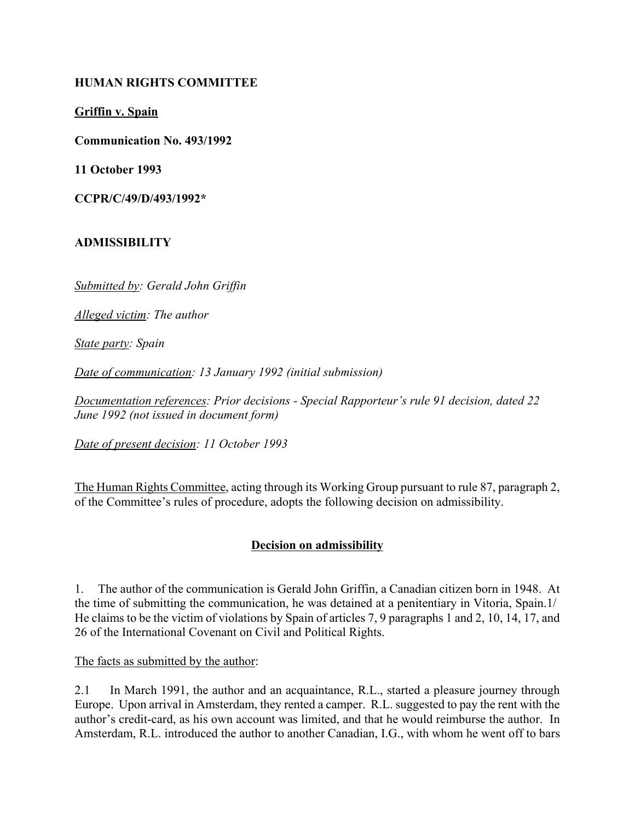#### **HUMAN RIGHTS COMMITTEE**

**Griffin v. Spain**

**Communication No. 493/1992**

**11 October 1993**

**CCPR/C/49/D/493/1992\***

### **ADMISSIBILITY**

*Submitted by: Gerald John Griffin*

*Alleged victim: The author*

*State party: Spain*

*Date of communication: 13 January 1992 (initial submission)*

*Documentation references: Prior decisions - Special Rapporteur's rule 91 decision, dated 22 June 1992 (not issued in document form)*

*Date of present decision: 11 October 1993*

The Human Rights Committee, acting through its Working Group pursuant to rule 87, paragraph 2, of the Committee's rules of procedure, adopts the following decision on admissibility.

# **Decision on admissibility**

1. The author of the communication is Gerald John Griffin, a Canadian citizen born in 1948. At the time of submitting the communication, he was detained at a penitentiary in Vitoria, Spain.1/ He claims to be the victim of violations by Spain of articles 7, 9 paragraphs 1 and 2, 10, 14, 17, and 26 of the International Covenant on Civil and Political Rights.

The facts as submitted by the author:

2.1 In March 1991, the author and an acquaintance, R.L., started a pleasure journey through Europe. Upon arrival in Amsterdam, they rented a camper. R.L. suggested to pay the rent with the author's credit-card, as his own account was limited, and that he would reimburse the author. In Amsterdam, R.L. introduced the author to another Canadian, I.G., with whom he went off to bars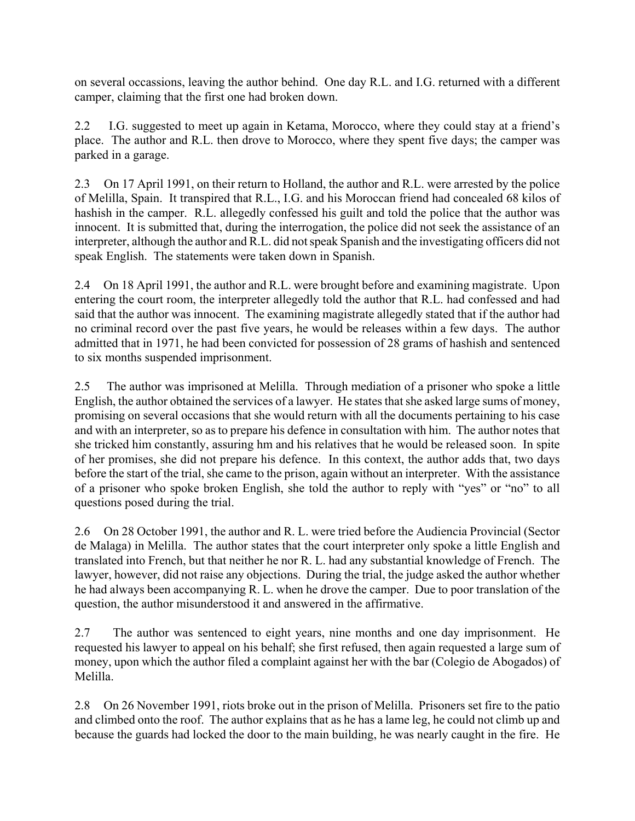on several occassions, leaving the author behind. One day R.L. and I.G. returned with a different camper, claiming that the first one had broken down.

2.2 I.G. suggested to meet up again in Ketama, Morocco, where they could stay at a friend's place. The author and R.L. then drove to Morocco, where they spent five days; the camper was parked in a garage.

2.3 On 17 April 1991, on their return to Holland, the author and R.L. were arrested by the police of Melilla, Spain. It transpired that R.L., I.G. and his Moroccan friend had concealed 68 kilos of hashish in the camper. R.L. allegedly confessed his guilt and told the police that the author was innocent. It is submitted that, during the interrogation, the police did not seek the assistance of an interpreter, although the author and R.L. did not speak Spanish and the investigating officers did not speak English. The statements were taken down in Spanish.

2.4 On 18 April 1991, the author and R.L. were brought before and examining magistrate. Upon entering the court room, the interpreter allegedly told the author that R.L. had confessed and had said that the author was innocent. The examining magistrate allegedly stated that if the author had no criminal record over the past five years, he would be releases within a few days. The author admitted that in 1971, he had been convicted for possession of 28 grams of hashish and sentenced to six months suspended imprisonment.

2.5 The author was imprisoned at Melilla. Through mediation of a prisoner who spoke a little English, the author obtained the services of a lawyer. He states that she asked large sums of money, promising on several occasions that she would return with all the documents pertaining to his case and with an interpreter, so as to prepare his defence in consultation with him. The author notes that she tricked him constantly, assuring hm and his relatives that he would be released soon. In spite of her promises, she did not prepare his defence. In this context, the author adds that, two days before the start of the trial, she came to the prison, again without an interpreter. With the assistance of a prisoner who spoke broken English, she told the author to reply with "yes" or "no" to all questions posed during the trial.

2.6 On 28 October 1991, the author and R. L. were tried before the Audiencia Provincial (Sector de Malaga) in Melilla. The author states that the court interpreter only spoke a little English and translated into French, but that neither he nor R. L. had any substantial knowledge of French. The lawyer, however, did not raise any objections. During the trial, the judge asked the author whether he had always been accompanying R. L. when he drove the camper. Due to poor translation of the question, the author misunderstood it and answered in the affirmative.

2.7 The author was sentenced to eight years, nine months and one day imprisonment. He requested his lawyer to appeal on his behalf; she first refused, then again requested a large sum of money, upon which the author filed a complaint against her with the bar (Colegio de Abogados) of Melilla.

2.8 On 26 November 1991, riots broke out in the prison of Melilla. Prisoners set fire to the patio and climbed onto the roof. The author explains that as he has a lame leg, he could not climb up and because the guards had locked the door to the main building, he was nearly caught in the fire. He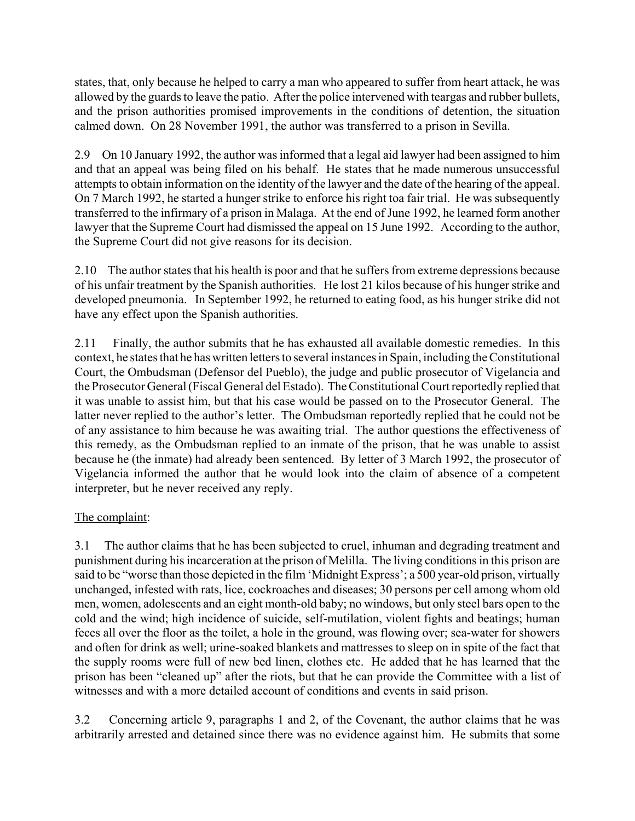states, that, only because he helped to carry a man who appeared to suffer from heart attack, he was allowed by the guards to leave the patio. After the police intervened with teargas and rubber bullets, and the prison authorities promised improvements in the conditions of detention, the situation calmed down. On 28 November 1991, the author was transferred to a prison in Sevilla.

2.9 On 10 January 1992, the author was informed that a legal aid lawyer had been assigned to him and that an appeal was being filed on his behalf. He states that he made numerous unsuccessful attempts to obtain information on the identity of the lawyer and the date of the hearing of the appeal. On 7 March 1992, he started a hunger strike to enforce his right toa fair trial. He was subsequently transferred to the infirmary of a prison in Malaga. At the end of June 1992, he learned form another lawyer that the Supreme Court had dismissed the appeal on 15 June 1992. According to the author, the Supreme Court did not give reasons for its decision.

2.10 The author states that his health is poor and that he suffers from extreme depressions because of his unfair treatment by the Spanish authorities. He lost 21 kilos because of his hunger strike and developed pneumonia. In September 1992, he returned to eating food, as his hunger strike did not have any effect upon the Spanish authorities.

2.11 Finally, the author submits that he has exhausted all available domestic remedies. In this context, he states that he has written letters to several instances in Spain, including the Constitutional Court, the Ombudsman (Defensor del Pueblo), the judge and public prosecutor of Vigelancia and the Prosecutor General (Fiscal General del Estado). The Constitutional Court reportedly replied that it was unable to assist him, but that his case would be passed on to the Prosecutor General. The latter never replied to the author's letter. The Ombudsman reportedly replied that he could not be of any assistance to him because he was awaiting trial. The author questions the effectiveness of this remedy, as the Ombudsman replied to an inmate of the prison, that he was unable to assist because he (the inmate) had already been sentenced. By letter of 3 March 1992, the prosecutor of Vigelancia informed the author that he would look into the claim of absence of a competent interpreter, but he never received any reply.

# The complaint:

3.1 The author claims that he has been subjected to cruel, inhuman and degrading treatment and punishment during his incarceration at the prison of Melilla. The living conditions in this prison are said to be "worse than those depicted in the film 'Midnight Express'; a 500 year-old prison, virtually unchanged, infested with rats, lice, cockroaches and diseases; 30 persons per cell among whom old men, women, adolescents and an eight month-old baby; no windows, but only steel bars open to the cold and the wind; high incidence of suicide, self-mutilation, violent fights and beatings; human feces all over the floor as the toilet, a hole in the ground, was flowing over; sea-water for showers and often for drink as well; urine-soaked blankets and mattresses to sleep on in spite of the fact that the supply rooms were full of new bed linen, clothes etc. He added that he has learned that the prison has been "cleaned up" after the riots, but that he can provide the Committee with a list of witnesses and with a more detailed account of conditions and events in said prison.

3.2 Concerning article 9, paragraphs 1 and 2, of the Covenant, the author claims that he was arbitrarily arrested and detained since there was no evidence against him. He submits that some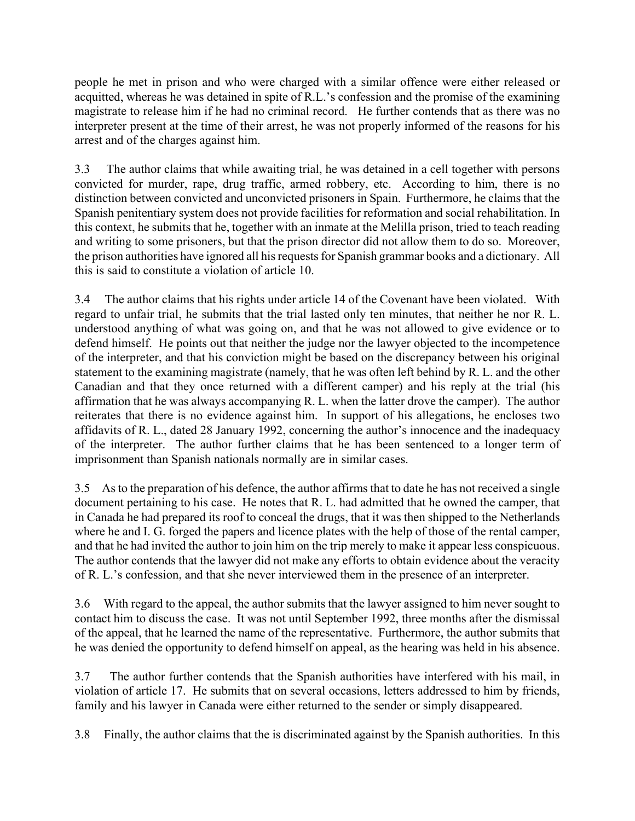people he met in prison and who were charged with a similar offence were either released or acquitted, whereas he was detained in spite of R.L.'s confession and the promise of the examining magistrate to release him if he had no criminal record. He further contends that as there was no interpreter present at the time of their arrest, he was not properly informed of the reasons for his arrest and of the charges against him.

3.3 The author claims that while awaiting trial, he was detained in a cell together with persons convicted for murder, rape, drug traffic, armed robbery, etc. According to him, there is no distinction between convicted and unconvicted prisoners in Spain. Furthermore, he claims that the Spanish penitentiary system does not provide facilities for reformation and social rehabilitation. In this context, he submits that he, together with an inmate at the Melilla prison, tried to teach reading and writing to some prisoners, but that the prison director did not allow them to do so. Moreover, the prison authorities have ignored all his requests for Spanish grammar books and a dictionary. All this is said to constitute a violation of article 10.

3.4 The author claims that his rights under article 14 of the Covenant have been violated. With regard to unfair trial, he submits that the trial lasted only ten minutes, that neither he nor R. L. understood anything of what was going on, and that he was not allowed to give evidence or to defend himself. He points out that neither the judge nor the lawyer objected to the incompetence of the interpreter, and that his conviction might be based on the discrepancy between his original statement to the examining magistrate (namely, that he was often left behind by R. L. and the other Canadian and that they once returned with a different camper) and his reply at the trial (his affirmation that he was always accompanying R. L. when the latter drove the camper). The author reiterates that there is no evidence against him. In support of his allegations, he encloses two affidavits of R. L., dated 28 January 1992, concerning the author's innocence and the inadequacy of the interpreter. The author further claims that he has been sentenced to a longer term of imprisonment than Spanish nationals normally are in similar cases.

3.5 As to the preparation of his defence, the author affirms that to date he has not received a single document pertaining to his case. He notes that R. L. had admitted that he owned the camper, that in Canada he had prepared its roof to conceal the drugs, that it was then shipped to the Netherlands where he and I. G. forged the papers and licence plates with the help of those of the rental camper, and that he had invited the author to join him on the trip merely to make it appear less conspicuous. The author contends that the lawyer did not make any efforts to obtain evidence about the veracity of R. L.'s confession, and that she never interviewed them in the presence of an interpreter.

3.6 With regard to the appeal, the author submits that the lawyer assigned to him never sought to contact him to discuss the case. It was not until September 1992, three months after the dismissal of the appeal, that he learned the name of the representative. Furthermore, the author submits that he was denied the opportunity to defend himself on appeal, as the hearing was held in his absence.

3.7 The author further contends that the Spanish authorities have interfered with his mail, in violation of article 17. He submits that on several occasions, letters addressed to him by friends, family and his lawyer in Canada were either returned to the sender or simply disappeared.

3.8 Finally, the author claims that the is discriminated against by the Spanish authorities. In this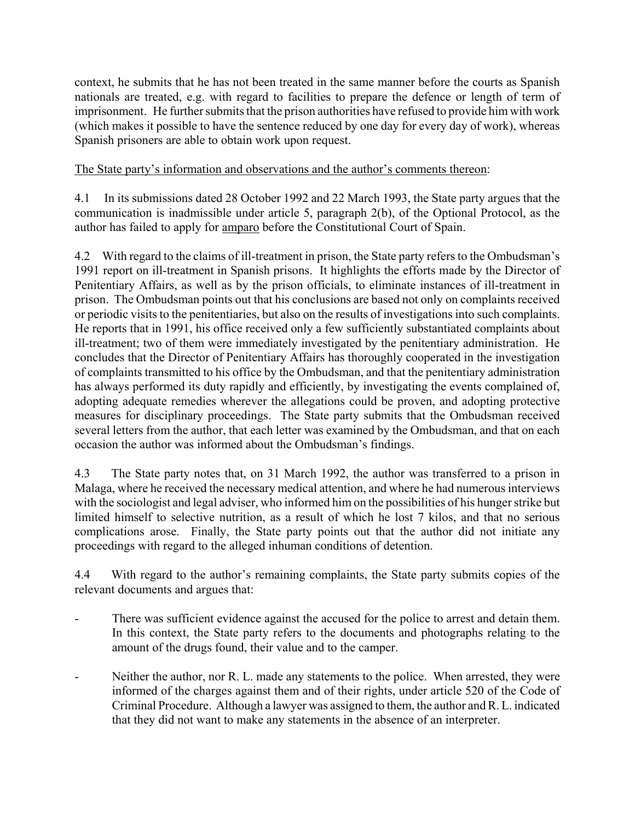context, he submits that he has not been treated in the same manner before the courts as Spanish nationals are treated, e.g. with regard to facilities to prepare the defence or length of term of imprisonment. He further submits that the prison authorities have refused to provide him with work (which makes it possible to have the sentence reduced by one day for every day of work), whereas Spanish prisoners are able to obtain work upon request.

### The State party's information and observations and the author's comments thereon:

4.1 In its submissions dated 28 October 1992 and 22 March 1993, the State party argues that the communication is inadmissible under article 5, paragraph 2(b), of the Optional Protocol, as the author has failed to apply for amparo before the Constitutional Court of Spain.

4.2 With regard to the claims of ill-treatment in prison, the State party refers to the Ombudsman's 1991 report on ill-treatment in Spanish prisons. It highlights the efforts made by the Director of Penitentiary Affairs, as well as by the prison officials, to eliminate instances of ill-treatment in prison. The Ombudsman points out that his conclusions are based not only on complaints received or periodic visits to the penitentiaries, but also on the results of investigations into such complaints. He reports that in 1991, his office received only a few sufficiently substantiated complaints about ill-treatment; two of them were immediately investigated by the penitentiary administration. He concludes that the Director of Penitentiary Affairs has thoroughly cooperated in the investigation of complaints transmitted to his office by the Ombudsman, and that the penitentiary administration has always performed its duty rapidly and efficiently, by investigating the events complained of, adopting adequate remedies wherever the allegations could be proven, and adopting protective measures for disciplinary proceedings. The State party submits that the Ombudsman received several letters from the author, that each letter was examined by the Ombudsman, and that on each occasion the author was informed about the Ombudsman's findings.

4.3 The State party notes that, on 31 March 1992, the author was transferred to a prison in Malaga, where he received the necessary medical attention, and where he had numerous interviews with the sociologist and legal adviser, who informed him on the possibilities of his hunger strike but limited himself to selective nutrition, as a result of which he lost 7 kilos, and that no serious complications arose. Finally, the State party points out that the author did not initiate any proceedings with regard to the alleged inhuman conditions of detention.

4.4 With regard to the author's remaining complaints, the State party submits copies of the relevant documents and argues that:

- There was sufficient evidence against the accused for the police to arrest and detain them. In this context, the State party refers to the documents and photographs relating to the amount of the drugs found, their value and to the camper.
- Neither the author, nor R. L. made any statements to the police. When arrested, they were informed of the charges against them and of their rights, under article 520 of the Code of Criminal Procedure. Although a lawyer was assigned to them, the author and R. L. indicated that they did not want to make any statements in the absence of an interpreter.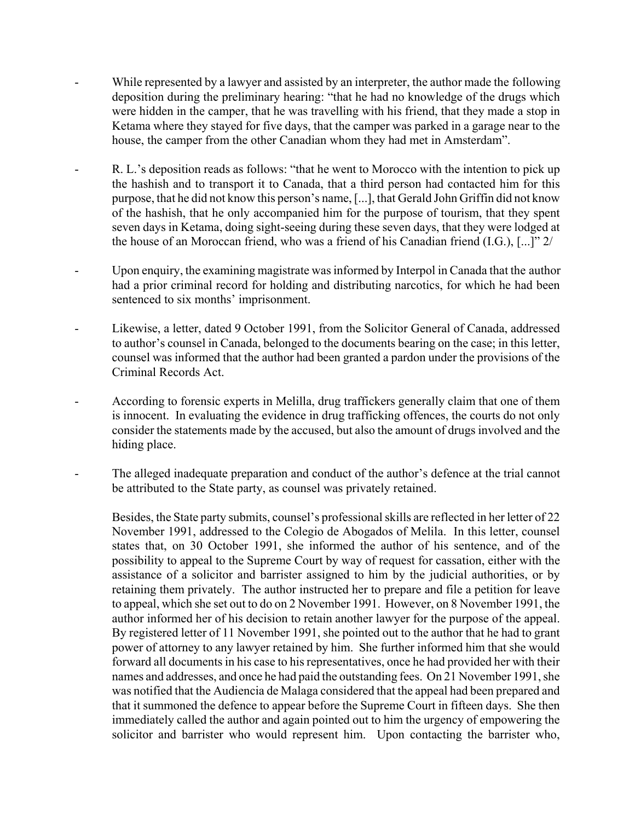- While represented by a lawyer and assisted by an interpreter, the author made the following deposition during the preliminary hearing: "that he had no knowledge of the drugs which were hidden in the camper, that he was travelling with his friend, that they made a stop in Ketama where they stayed for five days, that the camper was parked in a garage near to the house, the camper from the other Canadian whom they had met in Amsterdam".
- R. L.'s deposition reads as follows: "that he went to Morocco with the intention to pick up the hashish and to transport it to Canada, that a third person had contacted him for this purpose, that he did not know this person's name, [...], that Gerald John Griffin did not know of the hashish, that he only accompanied him for the purpose of tourism, that they spent seven days in Ketama, doing sight-seeing during these seven days, that they were lodged at the house of an Moroccan friend, who was a friend of his Canadian friend  $(I.G.,[, [...]$ <sup>"</sup> 2/
- Upon enquiry, the examining magistrate was informed by Interpol in Canada that the author had a prior criminal record for holding and distributing narcotics, for which he had been sentenced to six months' imprisonment.
- Likewise, a letter, dated 9 October 1991, from the Solicitor General of Canada, addressed to author's counsel in Canada, belonged to the documents bearing on the case; in this letter, counsel was informed that the author had been granted a pardon under the provisions of the Criminal Records Act.
- According to forensic experts in Melilla, drug traffickers generally claim that one of them is innocent. In evaluating the evidence in drug trafficking offences, the courts do not only consider the statements made by the accused, but also the amount of drugs involved and the hiding place.
- The alleged inadequate preparation and conduct of the author's defence at the trial cannot be attributed to the State party, as counsel was privately retained.

Besides, the State party submits, counsel's professional skills are reflected in her letter of 22 November 1991, addressed to the Colegio de Abogados of Melila. In this letter, counsel states that, on 30 October 1991, she informed the author of his sentence, and of the possibility to appeal to the Supreme Court by way of request for cassation, either with the assistance of a solicitor and barrister assigned to him by the judicial authorities, or by retaining them privately. The author instructed her to prepare and file a petition for leave to appeal, which she set out to do on 2 November 1991. However, on 8 November 1991, the author informed her of his decision to retain another lawyer for the purpose of the appeal. By registered letter of 11 November 1991, she pointed out to the author that he had to grant power of attorney to any lawyer retained by him. She further informed him that she would forward all documents in his case to his representatives, once he had provided her with their names and addresses, and once he had paid the outstanding fees. On 21 November 1991, she was notified that the Audiencia de Malaga considered that the appeal had been prepared and that it summoned the defence to appear before the Supreme Court in fifteen days. She then immediately called the author and again pointed out to him the urgency of empowering the solicitor and barrister who would represent him. Upon contacting the barrister who,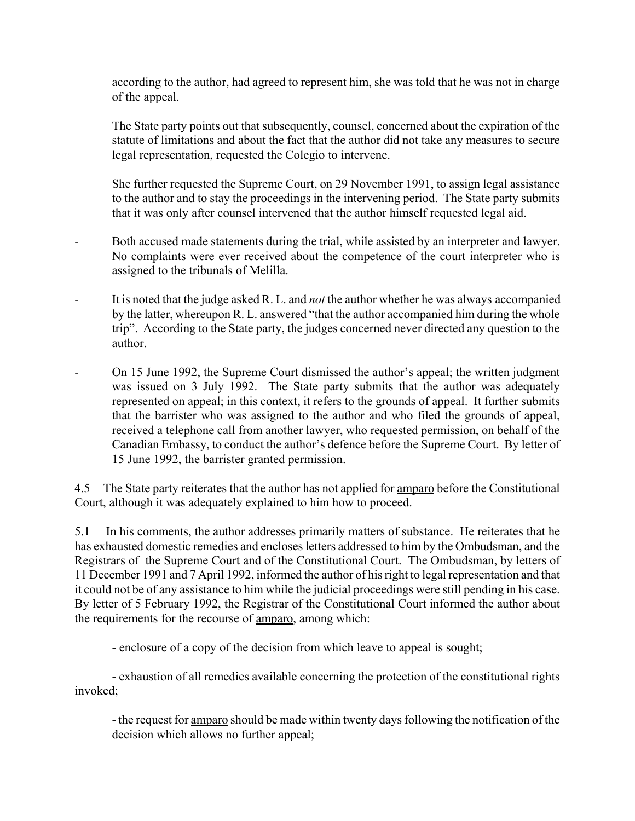according to the author, had agreed to represent him, she was told that he was not in charge of the appeal.

The State party points out that subsequently, counsel, concerned about the expiration of the statute of limitations and about the fact that the author did not take any measures to secure legal representation, requested the Colegio to intervene.

She further requested the Supreme Court, on 29 November 1991, to assign legal assistance to the author and to stay the proceedings in the intervening period. The State party submits that it was only after counsel intervened that the author himself requested legal aid.

- Both accused made statements during the trial, while assisted by an interpreter and lawyer. No complaints were ever received about the competence of the court interpreter who is assigned to the tribunals of Melilla.
- It is noted that the judge asked R. L. and *not* the author whether he was always accompanied by the latter, whereupon R. L. answered "that the author accompanied him during the whole tripî. According to the State party, the judges concerned never directed any question to the author.
- On 15 June 1992, the Supreme Court dismissed the author's appeal; the written judgment was issued on 3 July 1992. The State party submits that the author was adequately represented on appeal; in this context, it refers to the grounds of appeal. It further submits that the barrister who was assigned to the author and who filed the grounds of appeal, received a telephone call from another lawyer, who requested permission, on behalf of the Canadian Embassy, to conduct the author's defence before the Supreme Court. By letter of 15 June 1992, the barrister granted permission.

4.5 The State party reiterates that the author has not applied for <u>amparo</u> before the Constitutional Court, although it was adequately explained to him how to proceed.

5.1 In his comments, the author addresses primarily matters of substance. He reiterates that he has exhausted domestic remedies and encloses letters addressed to him by the Ombudsman, and the Registrars of the Supreme Court and of the Constitutional Court. The Ombudsman, by letters of 11 December 1991 and 7 April 1992, informed the author of his right to legal representation and that it could not be of any assistance to him while the judicial proceedings were still pending in his case. By letter of 5 February 1992, the Registrar of the Constitutional Court informed the author about the requirements for the recourse of amparo, among which:

- enclosure of a copy of the decision from which leave to appeal is sought;

- exhaustion of all remedies available concerning the protection of the constitutional rights invoked;

- the request for amparo should be made within twenty days following the notification of the decision which allows no further appeal;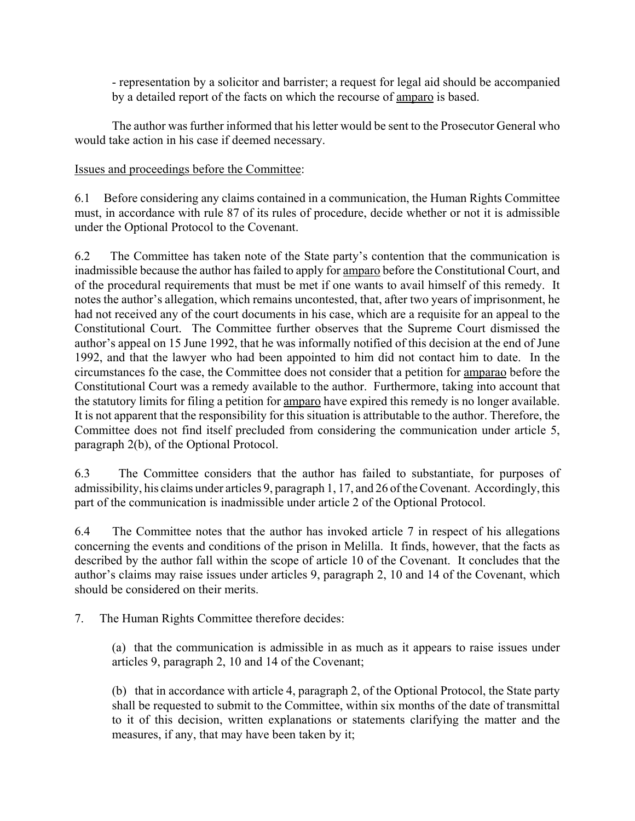- representation by a solicitor and barrister; a request for legal aid should be accompanied by a detailed report of the facts on which the recourse of **amparo** is based.

The author was further informed that his letter would be sent to the Prosecutor General who would take action in his case if deemed necessary.

#### Issues and proceedings before the Committee:

6.1 Before considering any claims contained in a communication, the Human Rights Committee must, in accordance with rule 87 of its rules of procedure, decide whether or not it is admissible under the Optional Protocol to the Covenant.

6.2 The Committee has taken note of the State party's contention that the communication is inadmissible because the author has failed to apply for amparo before the Constitutional Court, and of the procedural requirements that must be met if one wants to avail himself of this remedy. It notes the author's allegation, which remains uncontested, that, after two years of imprisonment, he had not received any of the court documents in his case, which are a requisite for an appeal to the Constitutional Court. The Committee further observes that the Supreme Court dismissed the author's appeal on 15 June 1992, that he was informally notified of this decision at the end of June 1992, and that the lawyer who had been appointed to him did not contact him to date. In the circumstances fo the case, the Committee does not consider that a petition for amparao before the Constitutional Court was a remedy available to the author. Furthermore, taking into account that the statutory limits for filing a petition for amparo have expired this remedy is no longer available. It is not apparent that the responsibility for this situation is attributable to the author. Therefore, the Committee does not find itself precluded from considering the communication under article 5, paragraph 2(b), of the Optional Protocol.

6.3 The Committee considers that the author has failed to substantiate, for purposes of admissibility, his claims under articles 9, paragraph 1, 17, and 26 of the Covenant. Accordingly, this part of the communication is inadmissible under article 2 of the Optional Protocol.

6.4 The Committee notes that the author has invoked article 7 in respect of his allegations concerning the events and conditions of the prison in Melilla. It finds, however, that the facts as described by the author fall within the scope of article 10 of the Covenant. It concludes that the author's claims may raise issues under articles 9, paragraph 2, 10 and 14 of the Covenant, which should be considered on their merits.

7. The Human Rights Committee therefore decides:

(a) that the communication is admissible in as much as it appears to raise issues under articles 9, paragraph 2, 10 and 14 of the Covenant;

(b) that in accordance with article 4, paragraph 2, of the Optional Protocol, the State party shall be requested to submit to the Committee, within six months of the date of transmittal to it of this decision, written explanations or statements clarifying the matter and the measures, if any, that may have been taken by it;